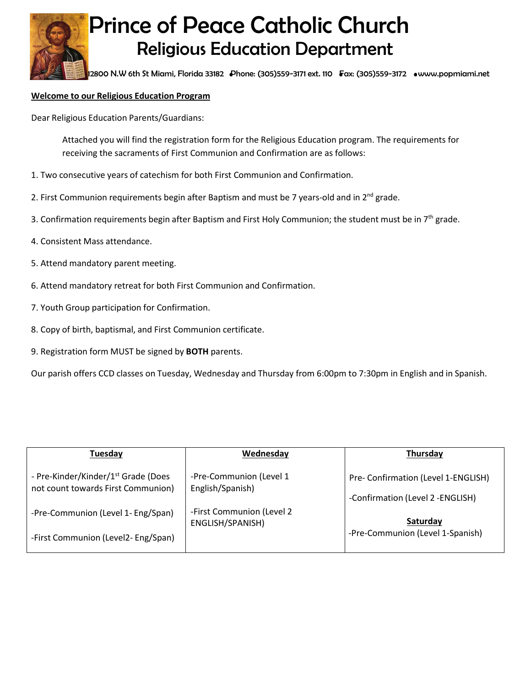

## Prince of Peace Catholic Church Religious Education Department

12800 N.W 6th St Miami, Florida 33182 Phone: (305)559-3171 ext. 110 Fax: (305)559-3172 [www.popmiami.net](http://www.popmiami.net/)

## **Welcome to our Religious Education Program**

Dear Religious Education Parents/Guardians:

Attached you will find the registration form for the Religious Education program. The requirements for receiving the sacraments of First Communion and Confirmation are as follows:

- 1. Two consecutive years of catechism for both First Communion and Confirmation.
- 2. First Communion requirements begin after Baptism and must be 7 years-old and in  $2^{nd}$  grade.
- 3. Confirmation requirements begin after Baptism and First Holy Communion; the student must be in 7<sup>th</sup> grade.
- 4. Consistent Mass attendance.
- 5. Attend mandatory parent meeting.
- 6. Attend mandatory retreat for both First Communion and Confirmation.
- 7. Youth Group participation for Confirmation.
- 8. Copy of birth, baptismal, and First Communion certificate.
- 9. Registration form MUST be signed by **BOTH** parents.

Our parish offers CCD classes on Tuesday, Wednesday and Thursday from 6:00pm to 7:30pm in English and in Spanish.

| Tuesday                                         | Wednesday                 | Thursday                            |
|-------------------------------------------------|---------------------------|-------------------------------------|
| - Pre-Kinder/Kinder/1 <sup>st</sup> Grade (Does | -Pre-Communion (Level 1   | Pre- Confirmation (Level 1-ENGLISH) |
| not count towards First Communion)              | English/Spanish)          | -Confirmation (Level 2 -ENGLISH)    |
| -Pre-Communion (Level 1- Eng/Span)              | -First Communion (Level 2 | Saturday                            |
| -First Communion (Level2-Eng/Span)              | ENGLISH/SPANISH)          | -Pre-Communion (Level 1-Spanish)    |